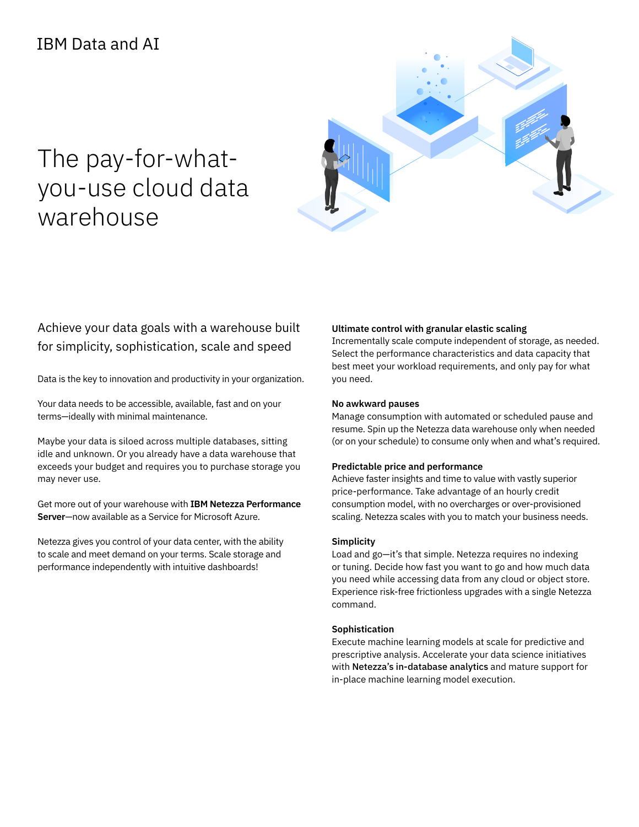# The pay-for-whatyou-use cloud data warehouse



### Achieve your data goals with a warehouse built for simplicity, sophistication, scale and speed

Data is the key to innovation and productivity in your organization.

Your data needs to be accessible, available, fast and on your terms—ideally with minimal maintenance.

Maybe your data is siloed across multiple databases, sitting idle and unknown. Or you already have a data warehouse that exceeds your budget and requires you to purchase storage you may never use.

Get more out of your warehouse with **IBM Netezza Performance Server**—now available as a Service for Microsoft Azure.

Netezza gives you control of your data center, with the ability to scale and meet demand on your terms. Scale storage and performance independently with intuitive dashboards!

#### **Ultimate control with granular elastic scaling**

Incrementally scale compute independent of storage, as needed. Select the performance characteristics and data capacity that best meet your workload requirements, and only pay for what you need.

#### **No awkward pauses**

Manage consumption with automated or scheduled pause and resume. Spin up the Netezza data warehouse only when needed (or on your schedule) to consume only when and what's required.

#### **Predictable price and performance**

Achieve faster insights and time to value with vastly superior price-performance. Take advantage of an hourly credit consumption model, with no overcharges or over-provisioned scaling. Netezza scales with you to match your business needs.

#### **Simplicity**

Load and go—it's that simple. Netezza requires no indexing or tuning. Decide how fast you want to go and how much data you need while accessing data from any cloud or object store. Experience risk-free frictionless upgrades with a single Netezza command.

#### **Sophistication**

Execute machine learning models at scale for predictive and prescriptive analysis. Accelerate your data science initiatives with Netezza's in-database analytics and mature support for in-place machine learning model execution.